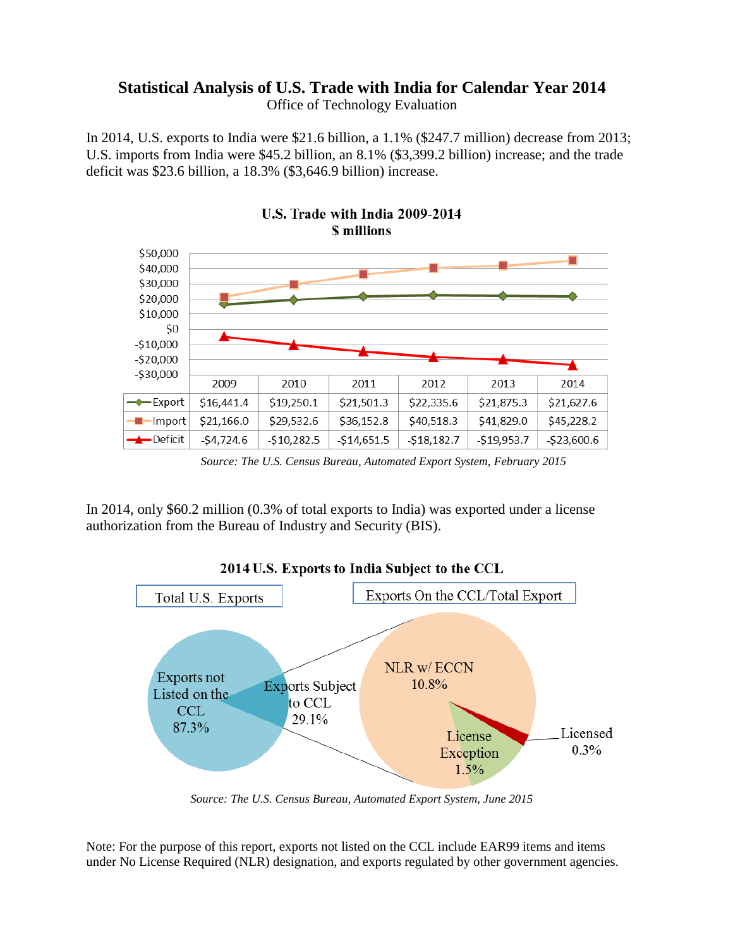## **Statistical Analysis of U.S. Trade with India for Calendar Year 2014**

Office of Technology Evaluation

In 2014, U.S. exports to India were \$21.6 billion, a 1.1% (\$247.7 million) decrease from 2013; U.S. imports from India were \$45.2 billion, an 8.1% (\$3,399.2 billion) increase; and the trade deficit was \$23.6 billion, a 18.3% (\$3,646.9 billion) increase.



*Source: The U.S. Census Bureau, Automated Export System, February 2015*

In 2014, only \$60.2 million (0.3% of total exports to India) was exported under a license authorization from the Bureau of Industry and Security (BIS).



*Source: The U.S. Census Bureau, Automated Export System, June 2015*

Note: For the purpose of this report, exports not listed on the CCL include EAR99 items and items under No License Required (NLR) designation, and exports regulated by other government agencies.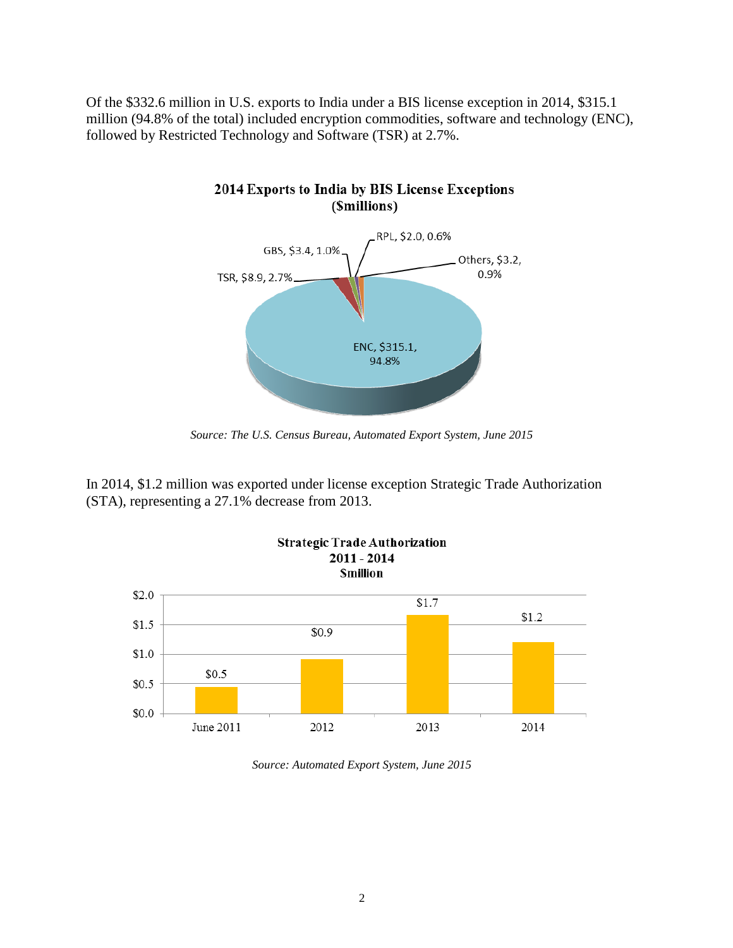Of the \$332.6 million in U.S. exports to India under a BIS license exception in 2014, \$315.1 million (94.8% of the total) included encryption commodities, software and technology (ENC), followed by Restricted Technology and Software (TSR) at 2.7%.

2014 Exports to India by BIS License Exceptions



*Source: The U.S. Census Bureau, Automated Export System, June 2015*

In 2014, \$1.2 million was exported under license exception Strategic Trade Authorization (STA), representing a 27.1% decrease from 2013.



*Source: Automated Export System, June 2015*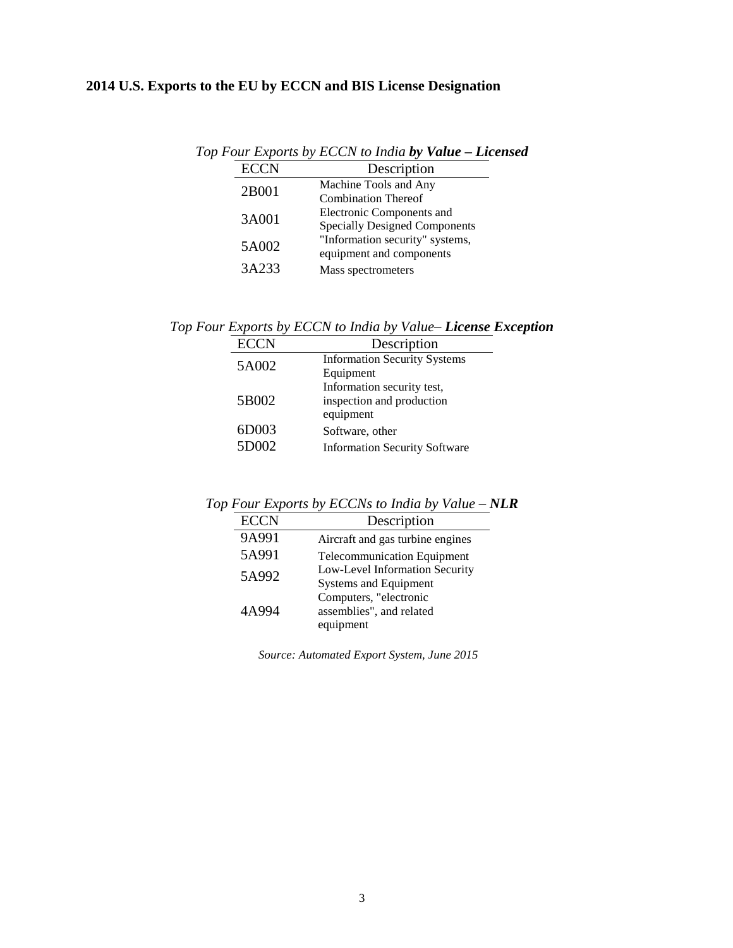## **2014 U.S. Exports to the EU by ECCN and BIS License Designation**

| Top Four Exports by ECCN to India by Value - Licensed |                                                                   |  |  |
|-------------------------------------------------------|-------------------------------------------------------------------|--|--|
| <b>ECCN</b>                                           | Description                                                       |  |  |
| 2B001                                                 | Machine Tools and Any<br><b>Combination Thereof</b>               |  |  |
| 3A001                                                 | Electronic Components and<br><b>Specially Designed Components</b> |  |  |
| 5A002                                                 | "Information security" systems,<br>equipment and components       |  |  |
| 3A233                                                 | Mass spectrometers                                                |  |  |

*Top Four Exports by ECCN to India by Value– License Exception*

| <b>ECCN</b> | Description                          |
|-------------|--------------------------------------|
| 5A002       | <b>Information Security Systems</b>  |
|             | Equipment                            |
|             | Information security test,           |
| 5B002       | inspection and production            |
|             | equipment                            |
| 6D003       | Software, other                      |
| 5D002       | <b>Information Security Software</b> |

*Top Four Exports by ECCNs to India by Value – NLR*

| <b>ECCN</b> | Description                        |
|-------------|------------------------------------|
| 9A991       | Aircraft and gas turbine engines   |
| 5A991       | <b>Telecommunication Equipment</b> |
| 5A992       | Low-Level Information Security     |
|             | <b>Systems and Equipment</b>       |
| 4A994       | Computers, "electronic             |
|             | assemblies", and related           |
|             | equipment                          |

*Source: Automated Export System, June 2015*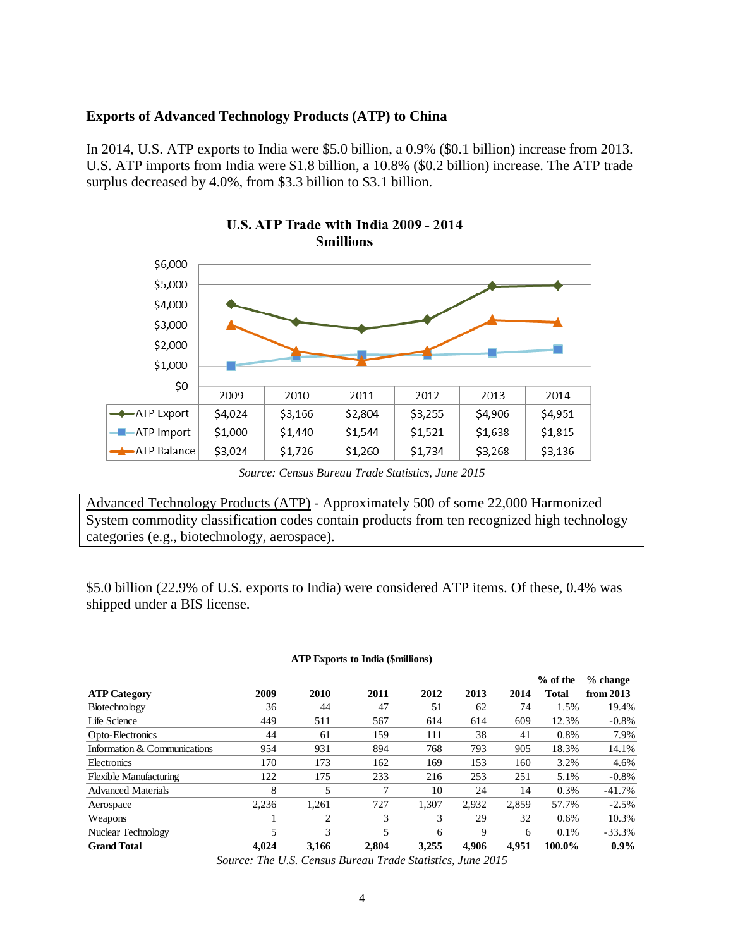## **Exports of Advanced Technology Products (ATP) to China**

In 2014, U.S. ATP exports to India were \$5.0 billion, a 0.9% (\$0.1 billion) increase from 2013. U.S. ATP imports from India were \$1.8 billion, a 10.8% (\$0.2 billion) increase. The ATP trade surplus decreased by 4.0%, from \$3.3 billion to \$3.1 billion.





*Source: Census Bureau Trade Statistics, June 2015*

Advanced Technology Products (ATP) - Approximately 500 of some 22,000 Harmonized System commodity classification codes contain products from ten recognized high technology categories (e.g., biotechnology, aerospace).

\$5.0 billion (22.9% of U.S. exports to India) were considered ATP items. Of these, 0.4% was shipped under a BIS license.

|                               |       |       |       |       |       |       | $%$ of the | $%$ change  |
|-------------------------------|-------|-------|-------|-------|-------|-------|------------|-------------|
| <b>ATP Category</b>           | 2009  | 2010  | 2011  | 2012  | 2013  | 2014  | Total      | from $2013$ |
| Biotechnology                 | 36    | 44    | 47    | 51    | 62    | 74    | 1.5%       | 19.4%       |
| Life Science                  | 449   | 511   | 567   | 614   | 614   | 609   | 12.3%      | $-0.8%$     |
| Opto-Electronics              | 44    | 61    | 159   | 111   | 38    | 41    | 0.8%       | 7.9%        |
| Information & Communications  | 954   | 931   | 894   | 768   | 793   | 905   | 18.3%      | 14.1%       |
| Electronics                   | 170   | 173   | 162   | 169   | 153   | 160   | 3.2%       | 4.6%        |
| <b>Flexible Manufacturing</b> | 122   | 175   | 233   | 216   | 253   | 251   | 5.1%       | $-0.8%$     |
| <b>Advanced Materials</b>     | 8     | 5     | 7     | 10    | 24    | 14    | 0.3%       | $-41.7%$    |
| Aerospace                     | 2,236 | 1.261 | 727   | 1.307 | 2.932 | 2.859 | 57.7%      | $-2.5%$     |
| Weapons                       |       | 2     | 3     | 3     | 29    | 32    | 0.6%       | 10.3%       |
| Nuclear Technology            | 5     | 3     | 5     | 6     | 9     | 6     | 0.1%       | $-33.3%$    |
| <b>Grand Total</b>            | 4.024 | 3,166 | 2.804 | 3.255 | 4.906 | 4.951 | 100.0%     | $0.9\%$     |

**ATP Exports to India (\$millions)**

*Source: The U.S. Census Bureau Trade Statistics, June 2015*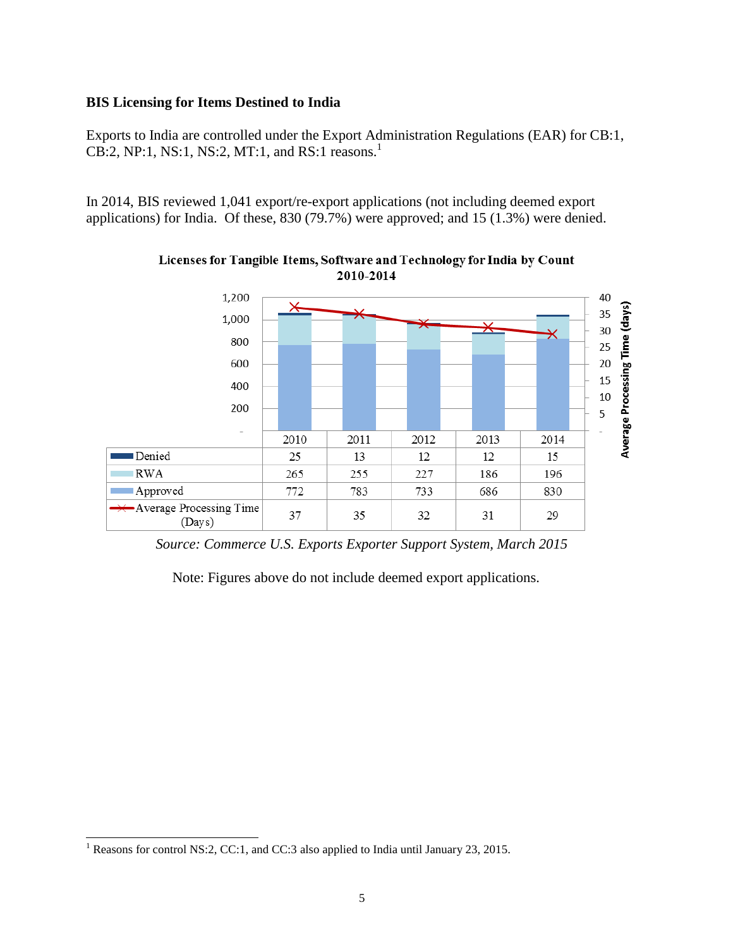## **BIS Licensing for Items Destined to India**

Exports to India are controlled under the Export Administration Regulations (EAR) for CB:1, CB:2, NP:1, NS:1, NS:2, MT:1, and RS:1 reasons. 1

In 2014, BIS reviewed 1,041 export/re-export applications (not including deemed export applications) for India. Of these, 830 (79.7%) were approved; and 15 (1.3%) were denied.



Licenses for Tangible Items, Software and Technology for India by Count 2010-2014

*Source: Commerce U.S. Exports Exporter Support System, March 2015*

Note: Figures above do not include deemed export applications.

l

<sup>&</sup>lt;sup>1</sup> Reasons for control NS:2, CC:1, and CC:3 also applied to India until January 23, 2015.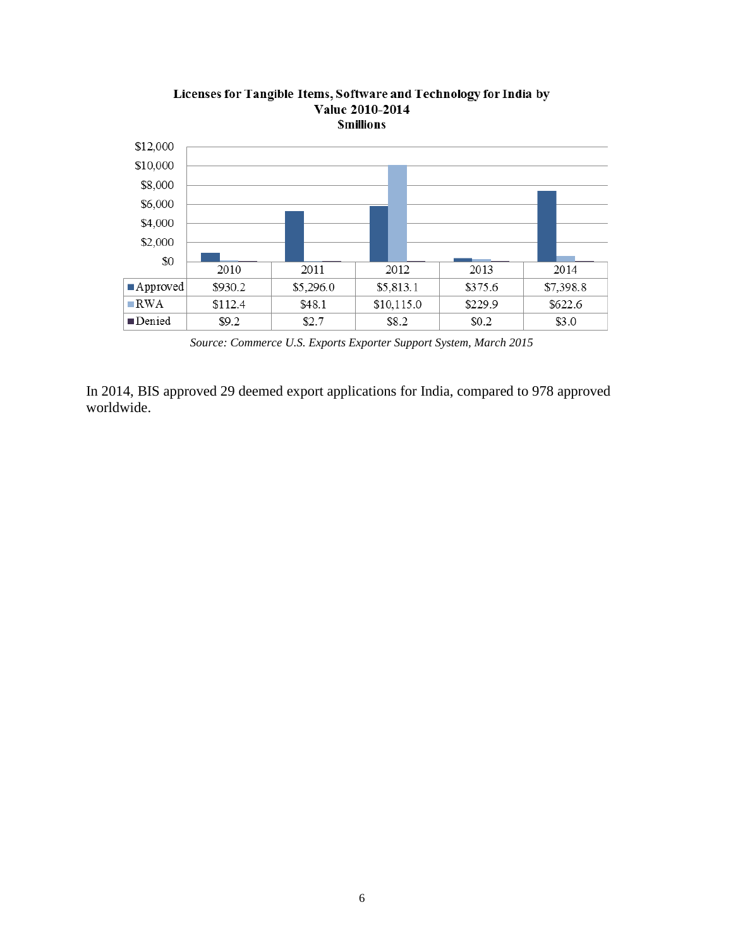

Licenses for Tangible Items, Software and Technology for India by **Value 2010-2014** 

*Source: Commerce U.S. Exports Exporter Support System, March 2015*

In 2014, BIS approved 29 deemed export applications for India, compared to 978 approved worldwide.